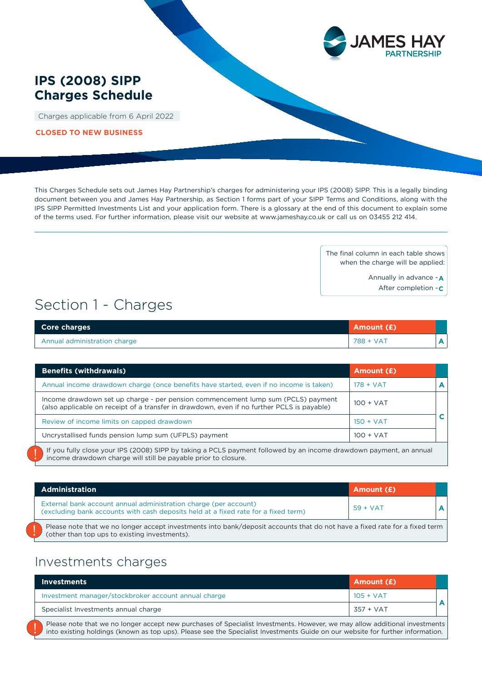

## **IPS (2008) SIPP Charges Schedule**

Charges applicable from 6 April 2022

**CLOSED TO NEW BUSINESS**

This Charges Schedule sets out James Hay Partnership's charges for administering your IPS (2008) SIPP. This is a legally binding document between you and James Hay Partnership, as Section 1 forms part of your SIPP Terms and Conditions, along with the IPS SIPP Permitted Investments List and your application form. There is a glossary at the end of this document to explain some of the terms used. For further information, please visit our website at www.jameshay.co.uk or call us on 03455 212 414.

> The final column in each table shows when the charge will be applied:

> > Annually in advance - **A**

After completion - **C**

# Section 1 - Charges

| <b>Core charges</b>          | Amount (£) |  |
|------------------------------|------------|--|
| Annual administration charge | 788 + VAT  |  |

| <b>Benefits (withdrawals)</b>                                                                                                                                                        | Amount (£)  |  |
|--------------------------------------------------------------------------------------------------------------------------------------------------------------------------------------|-------------|--|
| Annual income drawdown charge (once benefits have started, even if no income is taken)                                                                                               | $178 + VAT$ |  |
| Income drawdown set up charge - per pension commencement lump sum (PCLS) payment<br>(also applicable on receipt of a transfer in drawdown, even if no further PCLS is payable)       | $100 + VAT$ |  |
| Review of income limits on capped drawdown                                                                                                                                           | $150 + VAT$ |  |
| Uncrystallised funds pension lump sum (UFPLS) payment                                                                                                                                | $100 + VAT$ |  |
| If you fully close your IPS (2008) SIPP by taking a PCLS payment followed by an income drawdown payment, an annual<br>income drawdown charge will still be payable prior to closure. |             |  |

| <b>Administration</b>                                                                                                                                                       | Amount (£) |  |
|-----------------------------------------------------------------------------------------------------------------------------------------------------------------------------|------------|--|
| External bank account annual administration charge (per account)<br>(excluding bank accounts with cash deposits held at a fixed rate for a fixed term)                      | $59 + VAT$ |  |
| Please note that we no longer accept investments into bank/deposit accounts that do not have a fixed rate for a fixed term<br>(other than top ups to existing investments). |            |  |

# Investments charges

!<br>!

| <b>Investments</b>                                   | Amount (£)  |  |
|------------------------------------------------------|-------------|--|
| Investment manager/stockbroker account annual charge | $105 + VAT$ |  |
| Specialist Investments annual charge                 | 357 + VAT   |  |
|                                                      |             |  |

Please note that we no longer accept new purchases of Specialist Investments. However, we may allow additional investments into existing holdings (known as top ups). Please see the Specialist Investments Guide on our website for further information.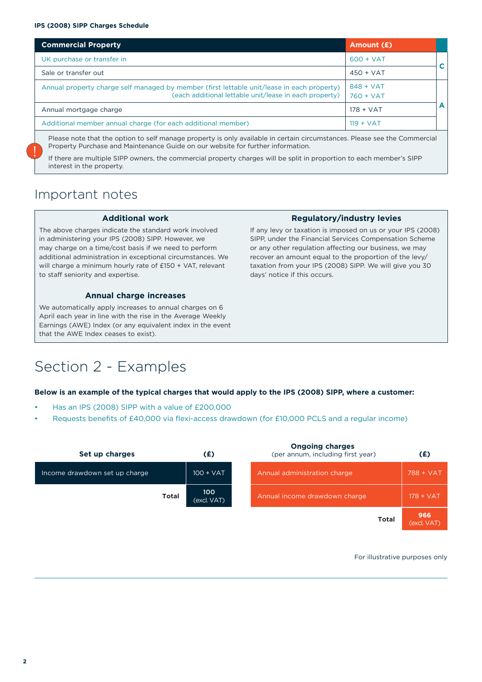#### **IPS (2008) SIPP Charges Schedule**

| <b>Commercial Property</b>                                                                                                                           | Amount (£)                 |   |
|------------------------------------------------------------------------------------------------------------------------------------------------------|----------------------------|---|
| UK purchase or transfer in                                                                                                                           | $600 + VAT$                |   |
| Sale or transfer out                                                                                                                                 | $450 + VAT$                |   |
| Annual property charge self managed by member (first lettable unit/lease in each property)<br>(each additional lettable unit/lease in each property) | $848 + VAT$<br>$760 + VAT$ |   |
| Annual mortgage charge                                                                                                                               | $178 + VAT$                | A |
| Additional member annual charge (for each additional member)                                                                                         | $119 + VAT$                |   |
| Please note that the option to self manage property is only available in certain circumstances. Please see the Commercial                            |                            |   |

Property Purchase and Maintenance Guide on our website for further information.

If there are multiple SIPP owners, the commercial property charges will be split in proportion to each member's SIPP interest in the property.

# Important notes

!<br>!

#### **Additional work**

The above charges indicate the standard work involved in administering your IPS (2008) SIPP. However, we may charge on a time/cost basis if we need to perform additional administration in exceptional circumstances. We will charge a minimum hourly rate of £150 + VAT, relevant to staff seniority and expertise.

#### **Annual charge increases**

We automatically apply increases to annual charges on 6 April each year in line with the rise in the Average Weekly Earnings (AWE) Index (or any equivalent index in the event that the AWE Index ceases to exist).

## **Regulatory/industry levies**

If any levy or taxation is imposed on us or your IPS (2008) SIPP, under the Financial Services Compensation Scheme or any other regulation affecting our business, we may recover an amount equal to the proportion of the levy/ taxation from your IPS (2008) SIPP. We will give you 30 days' notice if this occurs.

# Section 2 - Examples

#### **Below is an example of the typical charges that would apply to the IPS (2008) SIPP, where a customer:**

- Has an IPS (2008) SIPP with a value of £200,000
- Requests benefits of £40,000 via flexi-access drawdown (for £10,000 PCLS and a regular income)

| Set up charges                | (£)                | <b>Ongoing charges</b><br>(per annum, including first year) | (E)                |
|-------------------------------|--------------------|-------------------------------------------------------------|--------------------|
| Income drawdown set up charge | $100 + VAT$        | Annual administration charge                                | 788 + VAT          |
| <b>Total</b>                  | 100<br>(excl. VAT) | Annual income drawdown charge                               | $178 + VAT$        |
|                               |                    | <b>Total</b>                                                | 966<br>(excl. VAT) |

For illustrative purposes only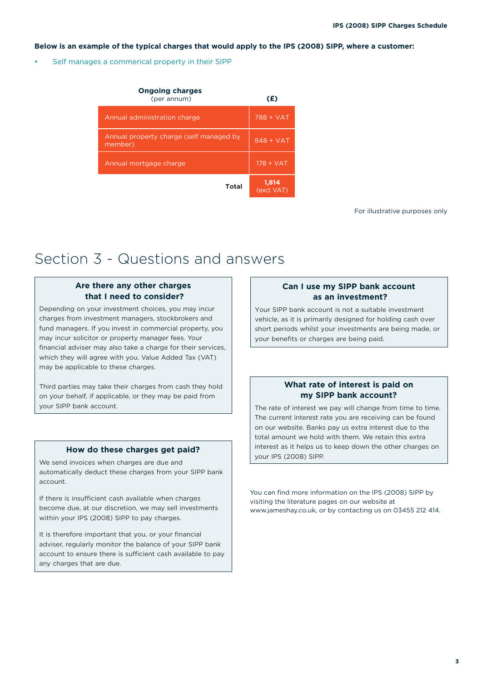#### **Below is an example of the typical charges that would apply to the IPS (2008) SIPP, where a customer:**

Self manages a commerical property in their SIPP

| <b>Ongoing charges</b><br>(per annum)              | (£)                  |
|----------------------------------------------------|----------------------|
| Annual administration charge                       | 788 + VAT            |
| Annual property charge (self managed by<br>member) | $848 + VAT$          |
| Annual mortgage charge                             | $178 + VAT$          |
| Total                                              | 1,814<br>(excl. VAT) |

For illustrative purposes only

# Section 3 - Questions and answers

### **Are there any other charges that I need to consider?**

Depending on your investment choices, you may incur charges from investment managers, stockbrokers and fund managers. If you invest in commercial property, you may incur solicitor or property manager fees. Your financial adviser may also take a charge for their services, which they will agree with you. Value Added Tax (VAT) may be applicable to these charges.

Third parties may take their charges from cash they hold on your behalf, if applicable, or they may be paid from your SIPP bank account.

### **How do these charges get paid?**

We send invoices when charges are due and automatically deduct these charges from your SIPP bank account.

If there is insufficient cash available when charges become due, at our discretion, we may sell investments within your IPS (2008) SIPP to pay charges.

It is therefore important that you, or your financial adviser, regularly monitor the balance of your SIPP bank account to ensure there is sufficient cash available to pay any charges that are due.

### **Can I use my SIPP bank account as an investment?**

Your SIPP bank account is not a suitable investment vehicle, as it is primarily designed for holding cash over short periods whilst your investments are being made, or your benefits or charges are being paid.

### **What rate of interest is paid on my SIPP bank account?**

The rate of interest we pay will change from time to time. The current interest rate you are receiving can be found on our website. Banks pay us extra interest due to the total amount we hold with them. We retain this extra interest as it helps us to keep down the other charges on your IPS (2008) SIPP.

You can find more information on the IPS (2008) SIPP by visiting the literature pages on our website at www.jameshay.co.uk, or by contacting us on 03455 212 414.